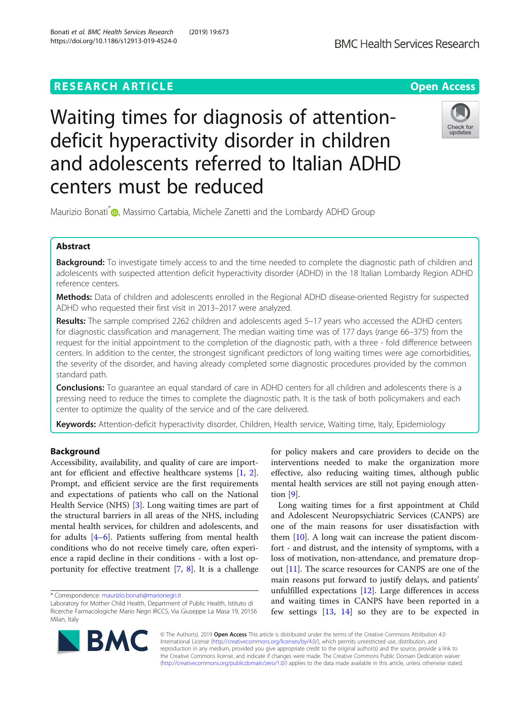# https://doi.org/10.1186/s12913-019-4524-0

centers must be reduced

## **RESEARCH ARTICLE Example 2018 12:30 The Contract of Contract Contract Open Access**

Waiting times for diagnosis of attention-



**BMC Health Services Research** 

Maurizio Bonati<sup>[\\*](http://orcid.org/0000-0003-3997-3726)</sup> , Massimo Cartabia, Michele Zanetti and the Lombardy ADHD Group

deficit hyperactivity disorder in children

and adolescents referred to Italian ADHD

### Abstract

Background: To investigate timely access to and the time needed to complete the diagnostic path of children and adolescents with suspected attention deficit hyperactivity disorder (ADHD) in the 18 Italian Lombardy Region ADHD reference centers.

Methods: Data of children and adolescents enrolled in the Regional ADHD disease-oriented Registry for suspected ADHD who requested their first visit in 2013–2017 were analyzed.

Results: The sample comprised 2262 children and adolescents aged 5-17 years who accessed the ADHD centers for diagnostic classification and management. The median waiting time was of 177 days (range 66–375) from the request for the initial appointment to the completion of the diagnostic path, with a three - fold difference between centers. In addition to the center, the strongest significant predictors of long waiting times were age comorbidities, the severity of the disorder, and having already completed some diagnostic procedures provided by the common standard path.

Conclusions: To guarantee an equal standard of care in ADHD centers for all children and adolescents there is a pressing need to reduce the times to complete the diagnostic path. It is the task of both policymakers and each center to optimize the quality of the service and of the care delivered.

Keywords: Attention-deficit hyperactivity disorder, Children, Health service, Waiting time, Italy, Epidemiology

#### Background

Accessibility, availability, and quality of care are important for efficient and effective healthcare systems [[1,](#page-8-0) [2](#page-8-0)]. Prompt, and efficient service are the first requirements and expectations of patients who call on the National Health Service (NHS) [\[3\]](#page-8-0). Long waiting times are part of the structural barriers in all areas of the NHS, including mental health services, for children and adolescents, and for adults  $[4-6]$  $[4-6]$  $[4-6]$ . Patients suffering from mental health conditions who do not receive timely care, often experience a rapid decline in their conditions - with a lost opportunity for effective treatment [[7](#page-8-0), [8](#page-8-0)]. It is a challenge

Laboratory for Mother Child Health, Department of Public Health, Istituto di Ricerche Farmacologiche Mario Negri IRCCS, Via Giuseppe La Masa 19, 20156 Milan, Italy



for policy makers and care providers to decide on the interventions needed to make the organization more effective, also reducing waiting times, although public mental health services are still not paying enough attention [\[9](#page-8-0)].

Long waiting times for a first appointment at Child and Adolescent Neuropsychiatric Services (CANPS) are one of the main reasons for user dissatisfaction with them [\[10](#page-8-0)]. A long wait can increase the patient discomfort - and distrust, and the intensity of symptoms, with a loss of motivation, non-attendance, and premature dropout [[11](#page-8-0)]. The scarce resources for CANPS are one of the main reasons put forward to justify delays, and patients' unfulfilled expectations [\[12\]](#page-8-0). Large differences in access and waiting times in CANPS have been reported in a few settings [\[13](#page-8-0), [14](#page-8-0)] so they are to be expected in

© The Author(s). 2019 Open Access This article is distributed under the terms of the Creative Commons Attribution 4.0 International License [\(http://creativecommons.org/licenses/by/4.0/](http://creativecommons.org/licenses/by/4.0/)), which permits unrestricted use, distribution, and reproduction in any medium, provided you give appropriate credit to the original author(s) and the source, provide a link to the Creative Commons license, and indicate if changes were made. The Creative Commons Public Domain Dedication waiver [\(http://creativecommons.org/publicdomain/zero/1.0/](http://creativecommons.org/publicdomain/zero/1.0/)) applies to the data made available in this article, unless otherwise stated.

<sup>\*</sup> Correspondence: [maurizio.bonati@marionegri.it](mailto:maurizio.bonati@marionegri.it)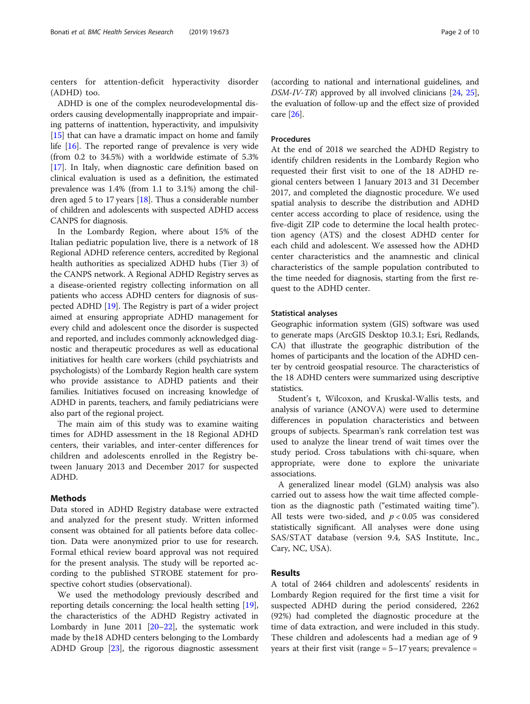centers for attention-deficit hyperactivity disorder (ADHD) too.

ADHD is one of the complex neurodevelopmental disorders causing developmentally inappropriate and impairing patterns of inattention, hyperactivity, and impulsivity [[15](#page-8-0)] that can have a dramatic impact on home and family life [\[16\]](#page-8-0). The reported range of prevalence is very wide (from 0.2 to 34.5%) with a worldwide estimate of 5.3% [[17](#page-8-0)]. In Italy, when diagnostic care definition based on clinical evaluation is used as a definition, the estimated prevalence was 1.4% (from 1.1 to 3.1%) among the children aged 5 to 17 years [[18](#page-8-0)]. Thus a considerable number of children and adolescents with suspected ADHD access CANPS for diagnosis.

In the Lombardy Region, where about 15% of the Italian pediatric population live, there is a network of 18 Regional ADHD reference centers, accredited by Regional health authorities as specialized ADHD hubs (Tier 3) of the CANPS network. A Regional ADHD Registry serves as a disease-oriented registry collecting information on all patients who access ADHD centers for diagnosis of suspected ADHD [\[19\]](#page-8-0). The Registry is part of a wider project aimed at ensuring appropriate ADHD management for every child and adolescent once the disorder is suspected and reported, and includes commonly acknowledged diagnostic and therapeutic procedures as well as educational initiatives for health care workers (child psychiatrists and psychologists) of the Lombardy Region health care system who provide assistance to ADHD patients and their families. Initiatives focused on increasing knowledge of ADHD in parents, teachers, and family pediatricians were also part of the regional project.

The main aim of this study was to examine waiting times for ADHD assessment in the 18 Regional ADHD centers, their variables, and inter-center differences for children and adolescents enrolled in the Registry between January 2013 and December 2017 for suspected ADHD.

#### Methods

Data stored in ADHD Registry database were extracted and analyzed for the present study. Written informed consent was obtained for all patients before data collection. Data were anonymized prior to use for research. Formal ethical review board approval was not required for the present analysis. The study will be reported according to the published STROBE statement for prospective cohort studies (observational).

We used the methodology previously described and reporting details concerning: the local health setting [[19](#page-8-0)], the characteristics of the ADHD Registry activated in Lombardy in June [20](#page-8-0)11  $[20-22]$  $[20-22]$ , the systematic work made by the18 ADHD centers belonging to the Lombardy ADHD Group [[23](#page-8-0)], the rigorous diagnostic assessment

(according to national and international guidelines, and DSM-IV-TR) approved by all involved clinicians [\[24,](#page-8-0) [25](#page-8-0)], the evaluation of follow-up and the effect size of provided care [\[26\]](#page-8-0).

#### **Procedures**

At the end of 2018 we searched the ADHD Registry to identify children residents in the Lombardy Region who requested their first visit to one of the 18 ADHD regional centers between 1 January 2013 and 31 December 2017, and completed the diagnostic procedure. We used spatial analysis to describe the distribution and ADHD center access according to place of residence, using the five-digit ZIP code to determine the local health protection agency (ATS) and the closest ADHD center for each child and adolescent. We assessed how the ADHD center characteristics and the anamnestic and clinical characteristics of the sample population contributed to the time needed for diagnosis, starting from the first request to the ADHD center.

#### Statistical analyses

Geographic information system (GIS) software was used to generate maps (ArcGIS Desktop 10.3.1; Esri, Redlands, CA) that illustrate the geographic distribution of the homes of participants and the location of the ADHD center by centroid geospatial resource. The characteristics of the 18 ADHD centers were summarized using descriptive statistics.

Student's t, Wilcoxon, and Kruskal-Wallis tests, and analysis of variance (ANOVA) were used to determine differences in population characteristics and between groups of subjects. Spearman's rank correlation test was used to analyze the linear trend of wait times over the study period. Cross tabulations with chi-square, when appropriate, were done to explore the univariate associations.

A generalized linear model (GLM) analysis was also carried out to assess how the wait time affected completion as the diagnostic path ("estimated waiting time"). All tests were two-sided, and  $p < 0.05$  was considered statistically significant. All analyses were done using SAS/STAT database (version 9.4, SAS Institute, Inc., Cary, NC, USA).

#### Results

A total of 2464 children and adolescents' residents in Lombardy Region required for the first time a visit for suspected ADHD during the period considered, 2262 (92%) had completed the diagnostic procedure at the time of data extraction, and were included in this study. These children and adolescents had a median age of 9 years at their first visit (range  $= 5-17$  years; prevalence  $=$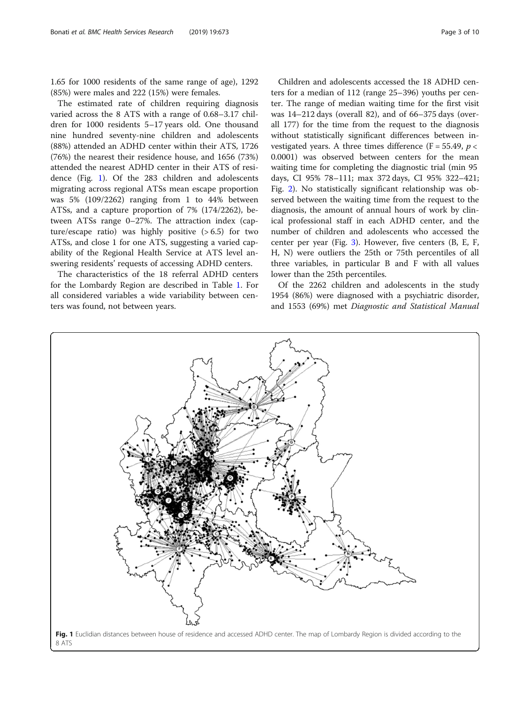1.65 for 1000 residents of the same range of age), 1292 (85%) were males and 222 (15%) were females.

The estimated rate of children requiring diagnosis varied across the 8 ATS with a range of 0.68–3.17 children for 1000 residents 5–17 years old. One thousand nine hundred seventy-nine children and adolescents (88%) attended an ADHD center within their ATS, 1726 (76%) the nearest their residence house, and 1656 (73%) attended the nearest ADHD center in their ATS of residence (Fig. 1). Of the 283 children and adolescents migrating across regional ATSs mean escape proportion was 5% (109/2262) ranging from 1 to 44% between ATSs, and a capture proportion of 7% (174/2262), between ATSs range 0–27%. The attraction index (capture/escape ratio) was highly positive  $(> 6.5)$  for two ATSs, and close 1 for one ATS, suggesting a varied capability of the Regional Health Service at ATS level answering residents' requests of accessing ADHD centers.

The characteristics of the 18 referral ADHD centers for the Lombardy Region are described in Table [1](#page-3-0). For all considered variables a wide variability between centers was found, not between years.

Children and adolescents accessed the 18 ADHD centers for a median of 112 (range 25–396) youths per center. The range of median waiting time for the first visit was 14–212 days (overall 82), and of 66–375 days (overall 177) for the time from the request to the diagnosis without statistically significant differences between investigated years. A three times difference (F = 55.49,  $p$  < 0.0001) was observed between centers for the mean waiting time for completing the diagnostic trial (min 95 days, CI 95% 78–111; max 372 days, CI 95% 322–421; Fig. [2\)](#page-4-0). No statistically significant relationship was observed between the waiting time from the request to the diagnosis, the amount of annual hours of work by clinical professional staff in each ADHD center, and the number of children and adolescents who accessed the center per year (Fig. [3\)](#page-5-0). However, five centers (B, E, F, H, N) were outliers the 25th or 75th percentiles of all three variables, in particular B and F with all values lower than the 25th percentiles.

Of the 2262 children and adolescents in the study 1954 (86%) were diagnosed with a psychiatric disorder, and 1553 (69%) met Diagnostic and Statistical Manual

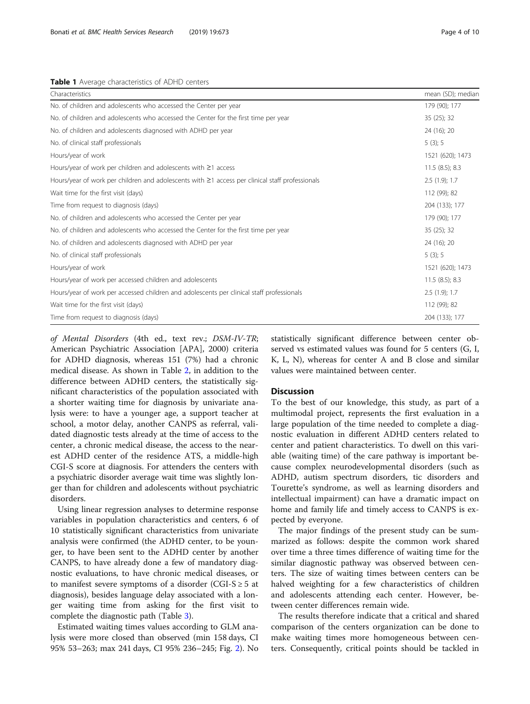<span id="page-3-0"></span>Table 1 Average characteristics of ADHD centers

| Characteristics                                                                                       | mean (SD); median |
|-------------------------------------------------------------------------------------------------------|-------------------|
| No. of children and adolescents who accessed the Center per year                                      | 179 (90); 177     |
| No. of children and adolescents who accessed the Center for the first time per year                   | 35 (25); 32       |
| No. of children and adolescents diagnosed with ADHD per year                                          | 24 (16); 20       |
| No. of clinical staff professionals                                                                   | 5(3); 5           |
| Hours/year of work                                                                                    | 1521 (620); 1473  |
| Hours/year of work per children and adolescents with $\geq 1$ access                                  | 11.5(8.5); 8.3    |
| Hours/year of work per children and adolescents with $\geq$ 1 access per clinical staff professionals | 2.5(1.9); 1.7     |
| Wait time for the first visit (days)                                                                  | 112 (99); 82      |
| Time from request to diagnosis (days)                                                                 | 204 (133); 177    |
| No. of children and adolescents who accessed the Center per year                                      | 179 (90); 177     |
| No. of children and adolescents who accessed the Center for the first time per year                   | 35 (25); 32       |
| No. of children and adolescents diagnosed with ADHD per year                                          | 24 (16); 20       |
| No. of clinical staff professionals                                                                   | 5(3); 5           |
| Hours/year of work                                                                                    | 1521 (620); 1473  |
| Hours/year of work per accessed children and adolescents                                              | 11.5(8.5); 8.3    |
| Hours/year of work per accessed children and adolescents per clinical staff professionals             | $2.5(1.9)$ ; 1.7  |
| Wait time for the first visit (days)                                                                  | 112 (99); 82      |
| Time from request to diagnosis (days)                                                                 | 204 (133); 177    |

of Mental Disorders (4th ed., text rev.; DSM-IV-TR; American Psychiatric Association [APA], 2000) criteria for ADHD diagnosis, whereas 151 (7%) had a chronic medical disease. As shown in Table [2](#page-6-0), in addition to the difference between ADHD centers, the statistically significant characteristics of the population associated with a shorter waiting time for diagnosis by univariate analysis were: to have a younger age, a support teacher at school, a motor delay, another CANPS as referral, validated diagnostic tests already at the time of access to the center, a chronic medical disease, the access to the nearest ADHD center of the residence ATS, a middle-high CGI-S score at diagnosis. For attenders the centers with a psychiatric disorder average wait time was slightly longer than for children and adolescents without psychiatric disorders.

Using linear regression analyses to determine response variables in population characteristics and centers, 6 of 10 statistically significant characteristics from univariate analysis were confirmed (the ADHD center, to be younger, to have been sent to the ADHD center by another CANPS, to have already done a few of mandatory diagnostic evaluations, to have chronic medical diseases, or to manifest severe symptoms of a disorder (CGI-S  $\geq$  5 at diagnosis), besides language delay associated with a longer waiting time from asking for the first visit to complete the diagnostic path (Table [3](#page-7-0)).

Estimated waiting times values according to GLM analysis were more closed than observed (min 158 days, CI 95% 53–263; max 241 days, CI 95% 236–245; Fig. [2](#page-4-0)). No statistically significant difference between center observed vs estimated values was found for 5 centers (G, I, K, L, N), whereas for center A and B close and similar values were maintained between center.

#### **Discussion**

To the best of our knowledge, this study, as part of a multimodal project, represents the first evaluation in a large population of the time needed to complete a diagnostic evaluation in different ADHD centers related to center and patient characteristics. To dwell on this variable (waiting time) of the care pathway is important because complex neurodevelopmental disorders (such as ADHD, autism spectrum disorders, tic disorders and Tourette's syndrome, as well as learning disorders and intellectual impairment) can have a dramatic impact on home and family life and timely access to CANPS is expected by everyone.

The major findings of the present study can be summarized as follows: despite the common work shared over time a three times difference of waiting time for the similar diagnostic pathway was observed between centers. The size of waiting times between centers can be halved weighting for a few characteristics of children and adolescents attending each center. However, between center differences remain wide.

The results therefore indicate that a critical and shared comparison of the centers organization can be done to make waiting times more homogeneous between centers. Consequently, critical points should be tackled in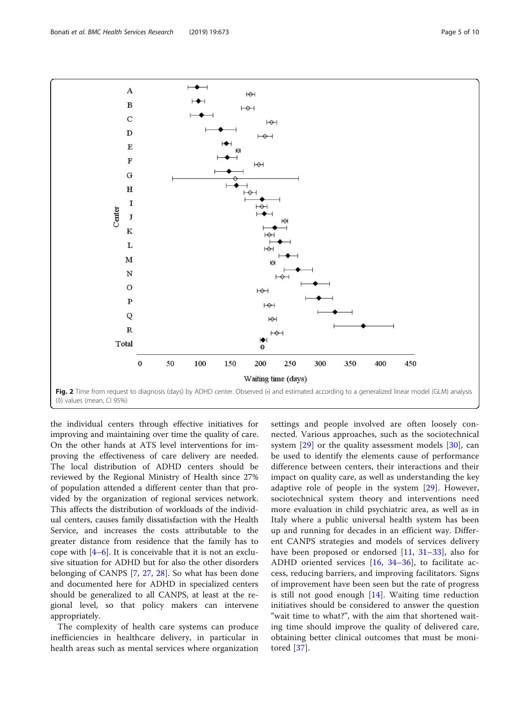the individual centers through effective initiatives for improving and maintaining over time the quality of care. On the other hands at ATS level interventions for improving the effectiveness of care delivery are needed. The local distribution of ADHD centers should be reviewed by the Regional Ministry of Health since 27% of population attended a different center than that provided by the organization of regional services network. This affects the distribution of workloads of the individual centers, causes family dissatisfaction with the Health Service, and increases the costs attributable to the greater distance from residence that the family has to cope with  $[4-6]$  $[4-6]$  $[4-6]$  $[4-6]$ . It is conceivable that it is not an exclusive situation for ADHD but for also the other disorders belonging of CANPS [[7,](#page-8-0) [27,](#page-8-0) [28](#page-8-0)]. So what has been done and documented here for ADHD in specialized centers should be generalized to all CANPS, at least at the regional level, so that policy makers can intervene appropriately.

The complexity of health care systems can produce inefficiencies in healthcare delivery, in particular in health areas such as mental services where organization

settings and people involved are often loosely connected. Various approaches, such as the sociotechnical system  $[29]$  $[29]$  or the quality assessment models  $[30]$  $[30]$ , can be used to identify the elements cause of performance difference between centers, their interactions and their impact on quality care, as well as understanding the key adaptive role of people in the system [[29\]](#page-8-0). However, sociotechnical system theory and interventions need more evaluation in child psychiatric area, as well as in Italy where a public universal health system has been up and running for decades in an efficient way. Different CANPS strategies and models of services delivery have been proposed or endorsed [[11,](#page-8-0) [31](#page-8-0)–[33](#page-8-0)], also for ADHD oriented services [[16,](#page-8-0) [34](#page-8-0)–[36\]](#page-8-0), to facilitate access, reducing barriers, and improving facilitators. Signs of improvement have been seen but the rate of progress is still not good enough [\[14\]](#page-8-0). Waiting time reduction initiatives should be considered to answer the question "wait time to what?", with the aim that shortened waiting time should improve the quality of delivered care, obtaining better clinical outcomes that must be monitored [[37\]](#page-9-0).

<span id="page-4-0"></span>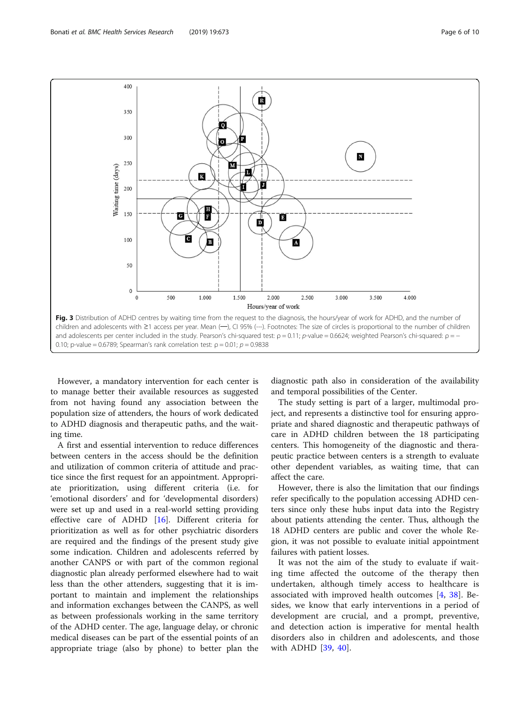<span id="page-5-0"></span>

However, a mandatory intervention for each center is to manage better their available resources as suggested from not having found any association between the population size of attenders, the hours of work dedicated to ADHD diagnosis and therapeutic paths, and the waiting time.

A first and essential intervention to reduce differences between centers in the access should be the definition and utilization of common criteria of attitude and practice since the first request for an appointment. Appropriate prioritization, using different criteria (i.e. for 'emotional disorders' and for 'developmental disorders) were set up and used in a real-world setting providing effective care of ADHD [\[16](#page-8-0)]. Different criteria for prioritization as well as for other psychiatric disorders are required and the findings of the present study give some indication. Children and adolescents referred by another CANPS or with part of the common regional diagnostic plan already performed elsewhere had to wait less than the other attenders, suggesting that it is important to maintain and implement the relationships and information exchanges between the CANPS, as well as between professionals working in the same territory of the ADHD center. The age, language delay, or chronic medical diseases can be part of the essential points of an appropriate triage (also by phone) to better plan the diagnostic path also in consideration of the availability and temporal possibilities of the Center.

The study setting is part of a larger, multimodal project, and represents a distinctive tool for ensuring appropriate and shared diagnostic and therapeutic pathways of care in ADHD children between the 18 participating centers. This homogeneity of the diagnostic and therapeutic practice between centers is a strength to evaluate other dependent variables, as waiting time, that can affect the care.

However, there is also the limitation that our findings refer specifically to the population accessing ADHD centers since only these hubs input data into the Registry about patients attending the center. Thus, although the 18 ADHD centers are public and cover the whole Region, it was not possible to evaluate initial appointment failures with patient losses.

It was not the aim of the study to evaluate if waiting time affected the outcome of the therapy then undertaken, although timely access to healthcare is associated with improved health outcomes [[4,](#page-8-0) [38](#page-9-0)]. Besides, we know that early interventions in a period of development are crucial, and a prompt, preventive, and detection action is imperative for mental health disorders also in children and adolescents, and those with ADHD [\[39](#page-9-0), [40](#page-9-0)].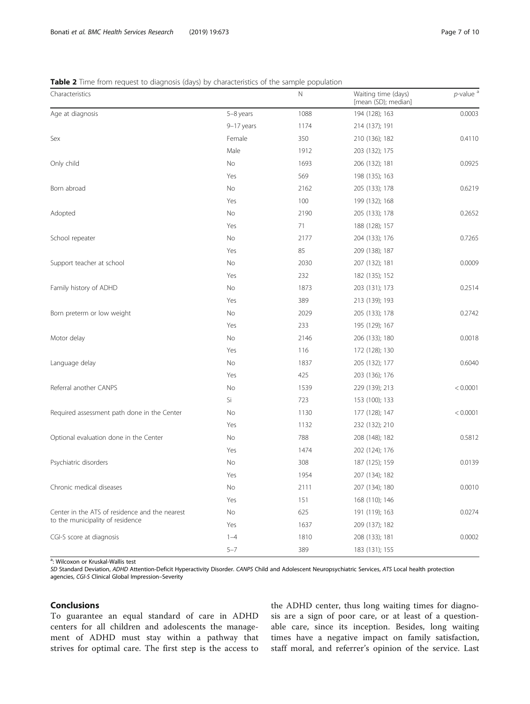#### <span id="page-6-0"></span>**Table 2** Time from request to diagnosis (days) by characteristics of the sample population

| Characteristics                                                                    |            | N    | Waiting time (days)<br>[mean (SD); median] | $p$ -value <sup>a</sup> |
|------------------------------------------------------------------------------------|------------|------|--------------------------------------------|-------------------------|
| Age at diagnosis                                                                   | 5-8 years  | 1088 | 194 (128); 163                             | 0.0003                  |
|                                                                                    | 9-17 years | 1174 | 214 (137); 191                             |                         |
| Sex                                                                                | Female     | 350  | 210 (136); 182                             | 0.4110                  |
|                                                                                    | Male       | 1912 | 203 (132); 175                             |                         |
| Only child                                                                         | No         | 1693 | 206 (132); 181                             | 0.0925                  |
|                                                                                    | Yes        | 569  | 198 (135); 163                             |                         |
| Born abroad                                                                        | No         | 2162 | 205 (133); 178                             | 0.6219                  |
|                                                                                    | Yes        | 100  | 199 (132); 168                             |                         |
| Adopted                                                                            | No         | 2190 | 205 (133); 178                             | 0.2652                  |
|                                                                                    | Yes        | 71   | 188 (128); 157                             |                         |
| School repeater                                                                    | No         | 2177 | 204 (133); 176                             | 0.7265                  |
|                                                                                    | Yes        | 85   | 209 (138); 187                             |                         |
| Support teacher at school                                                          | No         | 2030 | 207 (132); 181                             | 0.0009                  |
|                                                                                    | Yes        | 232  | 182 (135); 152                             |                         |
| Family history of ADHD                                                             | No         | 1873 | 203 (131); 173                             | 0.2514                  |
|                                                                                    | Yes        | 389  | 213 (139); 193                             |                         |
| Born preterm or low weight                                                         | No         | 2029 | 205 (133); 178                             | 0.2742                  |
|                                                                                    | Yes        | 233  | 195 (129); 167                             |                         |
| Motor delay                                                                        | No         | 2146 | 206 (133); 180                             | 0.0018                  |
|                                                                                    | Yes        | 116  | 172 (128); 130                             |                         |
| Language delay                                                                     | No         | 1837 | 205 (132); 177                             | 0.6040                  |
|                                                                                    | Yes        | 425  | 203 (136); 176                             |                         |
| Referral another CANPS                                                             | No         | 1539 | 229 (139); 213                             | < 0.0001                |
|                                                                                    | Si         | 723  | 153 (100); 133                             |                         |
| Required assessment path done in the Center                                        | No         | 1130 | 177 (128); 147                             | < 0.0001                |
|                                                                                    | Yes        | 1132 | 232 (132); 210                             |                         |
| Optional evaluation done in the Center                                             | No         | 788  | 208 (148); 182                             | 0.5812                  |
|                                                                                    | Yes        | 1474 | 202 (124); 176                             |                         |
| Psychiatric disorders                                                              | No         | 308  | 187 (125); 159                             | 0.0139                  |
|                                                                                    | Yes        | 1954 | 207 (134); 182                             |                         |
| Chronic medical diseases                                                           | No         | 2111 | 207 (134); 180                             | 0.0010                  |
|                                                                                    | Yes        | 151  | 168 (110); 146                             |                         |
| Center in the ATS of residence and the nearest<br>to the municipality of residence | No         | 625  | 191 (119); 163                             | 0.0274                  |
|                                                                                    | Yes        | 1637 | 209 (137); 182                             |                         |
| CGI-S score at diagnosis                                                           | $1 - 4$    | 1810 | 208 (133); 181                             | 0.0002                  |
|                                                                                    | $5 - 7$    | 389  | 183 (131); 155                             |                         |

<sup>a</sup>: Wilcoxon or Kruskal-Wallis test

SD Standard Deviation, ADHD Attention-Deficit Hyperactivity Disorder. CANPS Child and Adolescent Neuropsychiatric Services, ATS Local health protection agencies, CGI-S Clinical Global Impression–Severity

#### Conclusions

To guarantee an equal standard of care in ADHD centers for all children and adolescents the management of ADHD must stay within a pathway that strives for optimal care. The first step is the access to

the ADHD center, thus long waiting times for diagnosis are a sign of poor care, or at least of a questionable care, since its inception. Besides, long waiting times have a negative impact on family satisfaction, staff moral, and referrer's opinion of the service. Last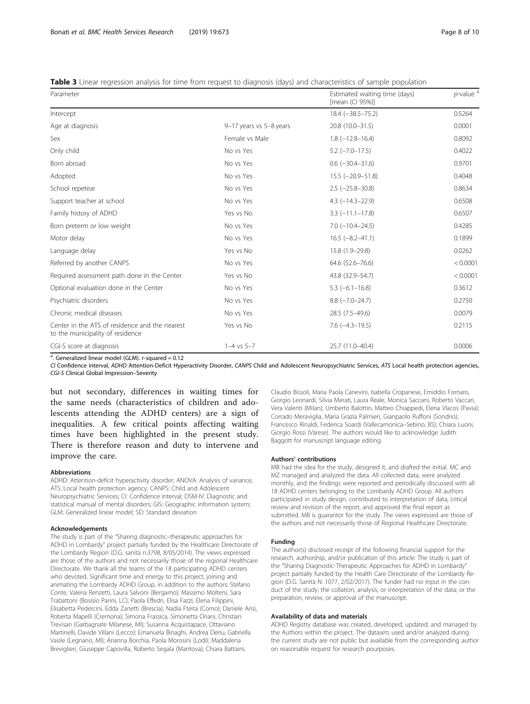<span id="page-7-0"></span>Table 3 Linear regression analysis for time from request to diagnosis (days) and characteristics of sample population

| Parameter                                                                          |                         | Estimated waiting time (days)<br>[mean (CI 95%)] | $p$ -value <sup>a</sup> |
|------------------------------------------------------------------------------------|-------------------------|--------------------------------------------------|-------------------------|
| Intercept                                                                          |                         | $18.4 (-38.5 - 75.2)$                            | 0.5264                  |
| Age at diagnosis                                                                   | 9-17 years vs 5-8 years | 20.8 (10.0-31.5)                                 | 0.0001                  |
| <b>Sex</b>                                                                         | Female vs Male          | $1.8(-12.8-16.4)$                                | 0.8092                  |
| Only child                                                                         | No vs Yes               | $5.2$ ( $-7.0-17.5$ )                            | 0.4022                  |
| Born abroad                                                                        | No vs Yes               | $0.6$ ( $-30.4-31.6$ )                           | 0.9701                  |
| Adopted                                                                            | No vs Yes               | $15.5$ ( $-20.9-51.8$ )                          | 0.4048                  |
| School repetear                                                                    | No vs Yes               | $2.5$ ( $-25.8 - 30.8$ )                         | 0.8634                  |
| Support teacher at school                                                          | No vs Yes               | $4.3$ ( $-14.3 - 22.9$ )                         | 0.6508                  |
| Family history of ADHD                                                             | Yes vs No               | $3.3$ ( $-11.1 - 17.8$ )                         | 0.6507                  |
| Born preterm or low weight                                                         | No vs Yes               | $7.0$ ( $-10.4 - 24.5$ )                         | 0.4285                  |
| Motor delay                                                                        | No vs Yes               | $16.5 (-8.2 - 41.1)$                             | 0.1899                  |
| Language delay                                                                     | Yes vs No               | 15.8 (1.9-29.8)                                  | 0.0262                  |
| Referred by another CANPS                                                          | No vs Yes               | 64.6 (52.6-76.6)                                 | < 0.0001                |
| Required assessment path done in the Center                                        | Yes vs No               | 43.8 (32.9 - 54.7)                               | < 0.0001                |
| Optional evaluation done in the Center                                             | No vs Yes               | $5.3$ (-6.1-16.8)                                | 0.3612                  |
| Psychiatric disorders                                                              | No vs Yes               | $8.8 (-7.0 - 24.7)$                              | 0.2750                  |
| Chronic medical diseases                                                           | No vs Yes               | 28.5 (7.5-49.6)                                  | 0.0079                  |
| Center in the ATS of residence and the nearest<br>to the municipality of residence | Yes vs No               | $7.6$ $(-4.3 - 19.5)$                            | 0.2115                  |
| CGI-S score at diagnosis                                                           | $1 - 4$ vs $5 - 7$      | 25.7 (11.0-40.4)                                 | 0.0006                  |

<sup>a</sup>. Generalized linear model (GLM). r-squared = 0.12

CI Confidence interval, ADHD Attention-Deficit Hyperactivity Disorder, CANPS Child and Adolescent Neuropsychiatric Services, ATS Local health protection agencies, CGI-S Clinical Global Impression–Severity

but not secondary, differences in waiting times for the same needs (characteristics of children and adolescents attending the ADHD centers) are a sign of inequalities. A few critical points affecting waiting times have been highlighted in the present study. There is therefore reason and duty to intervene and improve the care.

#### Abbreviations

ADHD: Attention-deficit hyperactivity disorder; ANOVA: Analysis of variance; ATS: Local health protection agency; CANPS: Child and Adolescent Neuropsychiatric Services; CI: Confidence interval; DSM-IV: Diagnostic and statistical manual of mental disorders; GIS: Geographic information system; GLM: Generalized linear model; SD: Standard deviation

#### Acknowledgements

The study is part of the "Sharing diagnostic–therapeutic approaches for ADHD in Lombardy" project partially funded by the Healthcare Directorate of the Lombardy Region (D.G. sanità n.3798, 8/05/2014). The views expressed are those of the authors and not necessarily those of the regional Healthcare Directorate. We thank all the teams of the 18 participating ADHD centers who devoted. Significant time and energy to this project, joining and animating the Lombardy ADHD Group, in addition to the authors: Stefano Conte, Valeria Renzetti, Laura Salvoni (Bergamo); Massimo Molteni, Sara Trabattoni (Bosisio Parini, LC); Paola Effedri, Elisa Fazzi, Elena Filippini, Elisabetta Pedercini, Edda Zanetti (Brescia); Nadia Fteita (Como); Daniele Arisi, Roberta Mapelli (Cremona); Simona Frassica, Simonetta Oriani, Christian Trevisan (Garbagnate Milanese, MI); Susanna Acquistapace, Ottaviano Martinelli, Davide Villani (Lecco); Emanuela Binaghi, Andrea Deriu, Gabriella Vasile (Legnano, MI); Arianna Borchia, Paola Morosini (Lodi); Maddalena Breviglieri, Giuseppe Capovilla, Roberto Segala (Mantova); Chiara Battaini,

Claudio Bissoli, Maria Paola Canevini, Isabella Cropanese, Emiddio Fornaro, Giorgio Leonardi, Silvia Merati, Laura Reale, Monica Saccani, Roberto Vaccari, Vera Valenti (Milan); Umberto Balottin, Matteo Chiappedi, Elena Vlacos (Pavia); Corrado Meraviglia, Maria Grazia Palmieri, Gianpaolo Ruffoni (Sondrio); Francesco Rinaldi, Federica Soardi (Vallecamonica–Sebino, BS); Chiara Luoni, Giorgio Rossi (Varese). The authors would like to acknowledge Judith Baggott for manuscript language editing.

#### Authors' contributions

MB had the idea for the study, designed it, and drafted the initial. MC and MZ managed and analyzed the data. All collected data, were analyzed monthly, and the findings were reported and periodically discussed with all 18 ADHD centers belonging to the Lombardy ADHD Group. All authors participated in study design, contributed to interpretation of data, critical review and revision of the report, and approved the final report as submitted. MB is guarantor for the study. The views expressed are those of the authors and not necessarily those of Regional Healthcare Directorate.

#### Funding

The author(s) disclosed receipt of the following financial support for the research, authorship, and/or publication of this article: The study is part of the "Sharing Diagnostic-Therapeutic Approaches for ADHD in Lombardy" project partially funded by the Health Care Directorate of the Lombardy Region (D.G. Sanità N. 1077, 2/02/2017). The funder had no input in the conduct of the study; the collation, analysis, or interpretation of the data; or the preparation, review, or approval of the manuscript.

#### Availability of data and materials

ADHD Registry database was created, developed, updated, and managed by the Authors within the project. The datasets used and/or analyzed during the current study are not public but available from the corresponding author on reasonable request for research pourposes.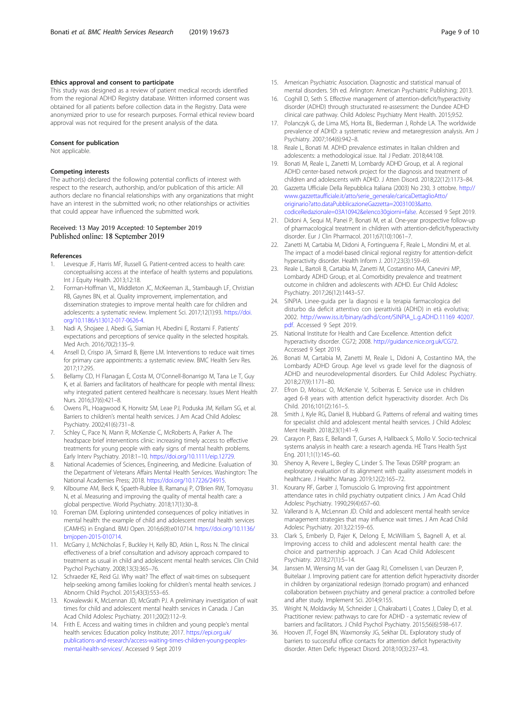#### <span id="page-8-0"></span>Ethics approval and consent to participate

This study was designed as a review of patient medical records identified from the regional ADHD Registry database. Written informed consent was obtained for all patients before collection data in the Registry. Data were anonymized prior to use for research purposes. Formal ethical review board approval was not required for the present analysis of the data.

#### Consent for publication

Not applicable.

#### Competing interests

The author(s) declared the following potential conflicts of interest with respect to the research, authorship, and/or publication of this article: All authors declare no financial relationships with any organizations that might have an interest in the submitted work; no other relationships or activities that could appear have influenced the submitted work.

#### Received: 13 May 2019 Accepted: 10 September 2019 Published online: 18 September 2019

#### References

- 1. Levesque JF, Harris MF, Russell G. Patient-centred access to health care: conceptualising access at the interface of health systems and populations. Int J Equity Health. 2013;12:18.
- 2. Forman-Hoffman VL, Middleton JC, McKeeman JL, Stambaugh LF, Christian RB, Gaynes BN, et al. Quality improvement, implementation, and dissemination strategies to improve mental health care for children and adolescents: a systematic review. Implement Sci. 2017;12(1):93. [https://doi.](https://doi.org/10.1186/s13012-017-0626-4) [org/10.1186/s13012-017-0626-4](https://doi.org/10.1186/s13012-017-0626-4).
- Nadi A, Shojaee J, Abedi G, Siamian H, Abedini E, Rostami F. Patients' expectations and perceptions of service quality in the selected hospitals. Med Arch. 2016;70(2):135–9.
- 4. Ansell D, Crispo JA, Simard B, Bjerre LM. Interventions to reduce wait times for primary care appointments: a systematic review. BMC Health Serv Res. 2017;17:295.
- 5. Bellamy CD, H Flanagan E, Costa M, O'Connell-Bonarrigo M, Tana Le T, Guy K, et al. Barriers and facilitators of healthcare for people with mental illness: why integrated patient centered healthcare is necessary. Issues Ment Health Nurs. 2016;37(6):421–8.
- 6. Owens PL, Hoagwood K, Horwitz SM, Leae PJ, Poduska JM, Kellam SG, et al. Barriers to children's mental health services. J Am Acad Child Adolesc Psychiatry. 2002;41(6):731–8.
- 7. Schley C, Pace N, Mann R, McKenzie C, McRoberts A, Parker A. The headspace brief interventions clinic: increasing timely access to effective treatments for young people with early signs of mental health problems. Early Interv Psychiatry. 2018:1–10. [https://doi.org/10.1111/eip.12729.](https://doi.org/10.1111/eip.12729)
- 8. National Academies of Sciences, Engineering, and Medicine. Evaluation of the Department of Veterans Affairs Mental Health Services. Washington: The National Academies Press; 2018. [https://doi.org/10.17226/24915.](https://doi.org/10.17226/24915)
- 9. Kilbourne AM, Beck K, Spaeth-Rublee B, Ramanuj P, O'Brien RW, Tomoyasu N, et al. Measuring and improving the quality of mental health care: a global perspective. World Psychiatry. 2018;17(1):30–8.
- 10. Foreman DM. Exploring unintended consequences of policy initiatives in mental health: the example of child and adolescent mental health services (CAMHS) in England. BMJ Open. 2016;6(8):e010714. [https://doi.org/10.1136/](https://doi.org/10.1136/bmjopen-2015-010714) [bmjopen-2015-010714.](https://doi.org/10.1136/bmjopen-2015-010714)
- 11. McGarry J, McNicholas F, Buckley H, Kelly BD, Atkin L, Ross N. The clinical effectiveness of a brief consultation and advisory approach compared to treatment as usual in child and adolescent mental health services. Clin Child Psychol Psychiatry. 2008;13(3):365–76.
- 12. Schraeder KE, Reid GJ. Why wait? The effect of wait-times on subsequent help-seeking among families looking for children's mental health services. J Abnorm Child Psychol. 2015;43(3):553–65.
- 13. Kowalewski K, McLennan JD, McGrath PJ. A preliminary investigation of wait times for child and adolescent mental health services in Canada. J Can Acad Child Adolesc Psychiatry. 2011;20(2):112–9.
- 14. Frith E. Access and waiting times in children and young people's mental health services: Education policy Institute; 2017. [https://epi.org.uk/](https://epi.org.uk/publications-and-research/access-waiting-times-children-young-peoples-mental-health-services/) [publications-and-research/access-waiting-times-children-young-peoples](https://epi.org.uk/publications-and-research/access-waiting-times-children-young-peoples-mental-health-services/)[mental-health-services/.](https://epi.org.uk/publications-and-research/access-waiting-times-children-young-peoples-mental-health-services/) Accessed 9 Sept 2019
- 15. American Psychiatric Association. Diagnostic and statistical manual of mental disorders. 5th ed. Arlington: American Psychiatric Publishing; 2013.
- 16. Coghill D, Seth S. Effective management of attention-deficit/hyperactivity disorder (ADHD) through structurated re-assessment: the Dundee ADHD clinical care pathway. Child Adolesc Psychiatry Ment Health. 2015;9:52.
- 17. Polanczyk G, de Lima MS, Horta BL, Biederman J, Rohde LA. The worldwide prevalence of ADHD: a systematic review and metaregression analysis. Am J Psychiatry. 2007;164(6):942–8.
- 18. Reale L, Bonati M. ADHD prevalence estimates in Italian children and adolescents: a methodological issue. Ital J Pediatr. 2018;44:108.
- 19. Bonati M, Reale L, Zanetti M, Lombardy ADHD Group, et al. A regional ADHD center-based network project for the diagnosis and treatment of children and adolescents with ADHD. J Atten Disord. 2018;22(12):1173–84.
- 20. Gazzetta Ufficiale Della Repubblica Italiana (2003) No 230, 3 ottobre. [http://](http://www.gazzettaufficiale.it/atto/serie_generale/caricaDettaglioAtto/originario?atto.dataPubblicazioneGazzetta=20031003&atto.codiceRedazionale=03A10942&elenco30giorni=false) [www.gazzettaufficiale.it/atto/serie\\_generale/caricaDettaglioAtto/](http://www.gazzettaufficiale.it/atto/serie_generale/caricaDettaglioAtto/originario?atto.dataPubblicazioneGazzetta=20031003&atto.codiceRedazionale=03A10942&elenco30giorni=false) [originario?atto.dataPubblicazioneGazzetta=20031003&atto.](http://www.gazzettaufficiale.it/atto/serie_generale/caricaDettaglioAtto/originario?atto.dataPubblicazioneGazzetta=20031003&atto.codiceRedazionale=03A10942&elenco30giorni=false) [codiceRedazionale=03A10942&elenco30giorni=false.](http://www.gazzettaufficiale.it/atto/serie_generale/caricaDettaglioAtto/originario?atto.dataPubblicazioneGazzetta=20031003&atto.codiceRedazionale=03A10942&elenco30giorni=false) Accessed 9 Sept 2019.
- 21. Didoni A, Sequi M, Panei P, Bonati M, et al. One-year prospective follow-up of pharmacological treatment in children with attention-deficit/hyperactivity disorder. Eur J Clin Pharmacol. 2011;67(10):1061–7.
- 22. Zanetti M, Cartabia M, Didoni A, Fortinguerra F, Reale L, Mondini M, et al. The impact of a model-based clinical regional registry for attention-deficit hyperactivity disorder. Health Inform J. 2017;23(3):159–69.
- 23. Reale L, Bartoli B, Cartabia M, Zanetti M, Costantino MA, Canevini MP, Lombardy ADHD Group, et al. Comorbidity prevalence and treatment outcome in children and adolescents with ADHD. Eur Child Adolesc Psychiatry. 2017;26(12):1443–57.
- 24. SINPIA. Linee-guida per la diagnosi e la terapia farmacologica del disturbo da deficit attentivo con iperattività (ADHD) in età evolutiva; 2002. [http://www.iss.it/binary/adhd/cont/SINPIA\\_L.g.ADHD.11169 40207.](http://www.iss.it/binary/adhd/cont/SINPIA_L.g.ADHD.11169%2040207.pdf) [pdf.](http://www.iss.it/binary/adhd/cont/SINPIA_L.g.ADHD.11169%2040207.pdf) Accessed 9 Sept 2019.
- 25. National Institute for Health and Care Excellence. Attention deficit hyperactivity disorder. CG72; 2008. [http://guidance.nice.org.uk/CG72.](http://guidance.nice.org.uk/CG72) Accessed 9 Sept 2019.
- 26. Bonati M, Cartabia M, Zanetti M, Reale L, Didoni A, Costantino MA, the Lombardy ADHD Group. Age level vs grade level for the diagnosis of ADHD and neurodevelopmental disorders. Eur Child Adolesc Psychiatry. 2018;27(9):1171–80.
- 27. Efron D, Moisuc O, McKenzie V, Sciberras E. Service use in children aged 6-8 years with attention deficit hyperactivity disorder. Arch Dis Child. 2016;101(2):161–5.
- 28. Smith J, Kyle RG, Daniel B, Hubbard G. Patterns of referral and waiting times for specialist child and adolescent mental health services. J Child Adolesc Ment Health. 2018;23(1):41-9.
- 29. Carayon P, Bass E, Bellandi T, Gurses A, Hallbaeck S, Mollo V. Socio-technical systems analysis in health care: a research agenda. HE Trans Health Syst Eng. 2011;1(1):145–60.
- 30. Shenoy A, Revere L, Begley C, Linder S. The Texas DSRIP program: an exploratory evaluation of its alignment with quality assessment models in healthcare. J Healthc Manag. 2019;12(2):165–72.
- 31. Kourany RF, Garber J, Tornusciolo G. Improving first appointment attendance rates in child psychiatry outpatient clinics. J Am Acad Child Adolesc Psychiatry. 1990;29(4):657–60.
- 32. Vallerand Is A, McLennan JD. Child and adolescent mental health service management strategies that may influence wait times. J Am Acad Child Adolesc Psychiatry. 2013;22:159–65.
- 33. Clark S, Emberly D, Pajer K, Delong E, McWilliam S, Bagnell A, et al. Improving access to child and adolescent mental health care: the choice and partnership approach. J Can Acad Child Adolescent Psychiatry. 2018;27(1):5–14.
- 34. Janssen M, Wensing M, van der Gaag RJ, Cornelissen I, van Deurzen P, Buitelaar J. Improving patient care for attention deficit hyperactivity disorder in children by organizational redesign (tornado program) and enhanced collaboration between psychiatry and general practice: a controlled before and after study. Implement Sci. 2014;9:155.
- 35. Wright N, Moldavsky M, Schneider J, Chakrabarti I, Coates J, Daley D, et al. Practitioner review: pathways to care for ADHD - a systematic review of barriers and facilitators. J Child Psychol Psychiatry. 2015;56(6):598–617.
- 36. Hooven JT, Fogel BN, Waxmonsky JG, Sekhar DL. Exploratory study of barriers to successful office contacts for attention deficit hyperactivity disorder. Atten Defic Hyperact Disord. 2018;10(3):237–43.